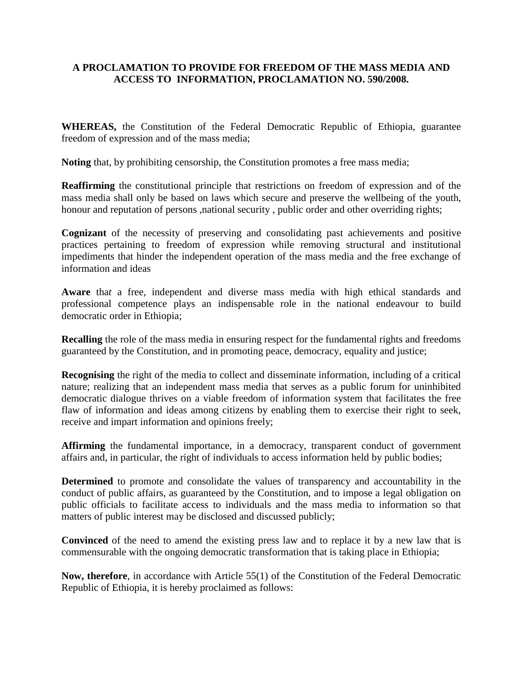#### **A PROCLAMATION TO PROVIDE FOR FREEDOM OF THE MASS MEDIA AND ACCESS TO INFORMATION, PROCLAMATION NO. 590/2008.**

**WHEREAS,** the Constitution of the Federal Democratic Republic of Ethiopia, guarantee freedom of expression and of the mass media;

**Noting** that, by prohibiting censorship, the Constitution promotes a free mass media;

**Reaffirming** the constitutional principle that restrictions on freedom of expression and of the mass media shall only be based on laws which secure and preserve the wellbeing of the youth, honour and reputation of persons ,national security , public order and other overriding rights;

**Cognizant** of the necessity of preserving and consolidating past achievements and positive practices pertaining to freedom of expression while removing structural and institutional impediments that hinder the independent operation of the mass media and the free exchange of information and ideas

**Aware** tha*t* a free, independent and diverse mass media with high ethical standards and professional competence plays an indispensable role in the national endeavour to build democratic order in Ethiopia;

**Recalling** the role of the mass media in ensuring respect for the fundamental rights and freedoms guaranteed by the Constitution, and in promoting peace, democracy, equality and justice;

**Recognising** the right of the media to collect and disseminate information, including of a critical nature; realizing that an independent mass media that serves as a public forum for uninhibited democratic dialogue thrives on a viable freedom of information system that facilitates the free flaw of information and ideas among citizens by enabling them to exercise their right to seek, receive and impart information and opinions freely;

**Affirming** the fundamental importance, in a democracy, transparent conduct of government affairs and, in particular, the right of individuals to access information held by public bodies;

**Determined** to promote and consolidate the values of transparency and accountability in the conduct of public affairs, as guaranteed by the Constitution, and to impose a legal obligation on public officials to facilitate access to individuals and the mass media to information so that matters of public interest may be disclosed and discussed publicly;

**Convinced** of the need to amend the existing press law and to replace it by a new law that is commensurable with the ongoing democratic transformation that is taking place in Ethiopia;

**Now, therefore**, in accordance with Article 55(1) of the Constitution of the Federal Democratic Republic of Ethiopia, it is hereby proclaimed as follows: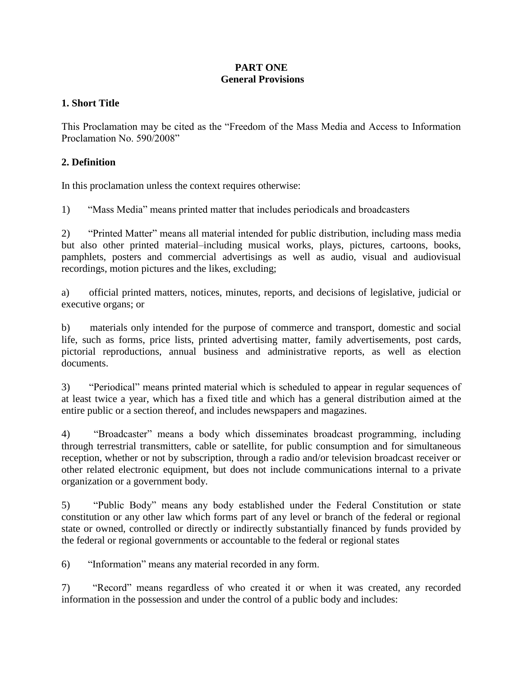#### **PART ONE General Provisions**

#### **1. Short Title**

This Proclamation may be cited as the "Freedom of the Mass Media and Access to Information Proclamation No. 590/2008"

#### **2. Definition**

In this proclamation unless the context requires otherwise:

1)"Mass Media" means printed matter that includes periodicals and broadcasters

2) "Printed Matter" means all material intended for public distribution, including mass media but also other printed material–including musical works, plays, pictures, cartoons, books, pamphlets, posters and commercial advertisings as well as audio, visual and audiovisual recordings, motion pictures and the likes, excluding;

a) official printed matters, notices, minutes, reports, and decisions of legislative, judicial or executive organs; or

b) materials only intended for the purpose of commerce and transport, domestic and social life, such as forms, price lists, printed advertising matter, family advertisements, post cards, pictorial reproductions, annual business and administrative reports, as well as election documents.

3) "Periodical" means printed material which is scheduled to appear in regular sequences of at least twice a year, which has a fixed title and which has a general distribution aimed at the entire public or a section thereof, and includes newspapers and magazines.

4) "Broadcaster" means a body which disseminates broadcast programming, including through terrestrial transmitters, cable or satellite, for public consumption and for simultaneous reception, whether or not by subscription, through a radio and/or television broadcast receiver or other related electronic equipment, but does not include communications internal to a private organization or a government body.

5)"Public Body" means any body established under the Federal Constitution or state constitution or any other law which forms part of any level or branch of the federal or regional state or owned, controlled or directly or indirectly substantially financed by funds provided by the federal or regional governments or accountable to the federal or regional states

6) "Information" means any material recorded in any form.

7) "Record" means regardless of who created it or when it was created, any recorded information in the possession and under the control of a public body and includes: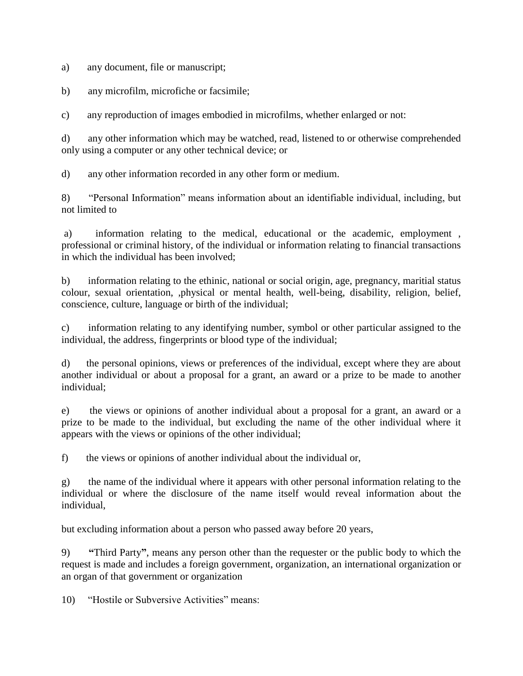a) any document, file or manuscript;

b) any microfilm, microfiche or facsimile;

c) any reproduction of images embodied in microfilms, whether enlarged or not:

d) any other information which may be watched, read, listened to or otherwise comprehended only using a computer or any other technical device; or

d) any other information recorded in any other form or medium.

8) "Personal Information" means information about an identifiable individual, including, but not limited to

a) information relating to the medical, educational or the academic, employment , professional or criminal history, of the individual or information relating to financial transactions in which the individual has been involved;

b) information relating to the ethinic, national or social origin, age, pregnancy, maritial status colour, sexual orientation, ,physical or mental health, well-being, disability, religion, belief, conscience, culture, language or birth of the individual;

c) information relating to any identifying number, symbol or other particular assigned to the individual, the address, fingerprints or blood type of the individual;

d) the personal opinions, views or preferences of the individual, except where they are about another individual or about a proposal for a grant, an award or a prize to be made to another individual;

e) the views or opinions of another individual about a proposal for a grant, an award or a prize to be made to the individual, but excluding the name of the other individual where it appears with the views or opinions of the other individual;

f) the views or opinions of another individual about the individual or,

g) the name of the individual where it appears with other personal information relating to the individual or where the disclosure of the name itself would reveal information about the individual,

but excluding information about a person who passed away before 20 years,

9) **"**Third Party**"**, means any person other than the requester or the public body to which the request is made and includes a foreign government, organization, an international organization or an organ of that government or organization

10) "Hostile or Subversive Activities" means: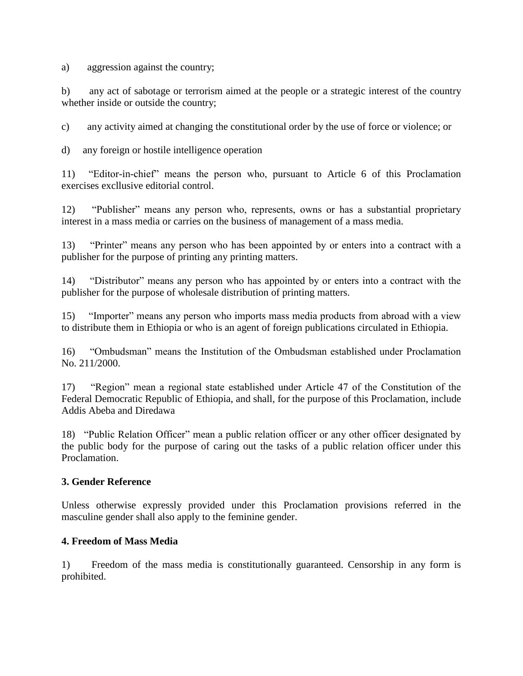a) aggression against the country;

b) any act of sabotage or terrorism aimed at the people or a strategic interest of the country whether inside or outside the country;

c) any activity aimed at changing the constitutional order by the use of force or violence; or

d) any foreign or hostile intelligence operation

11) "Editor-in-chief" means the person who, pursuant to Article 6 of this Proclamation exercises excllusive editorial control.

12) "Publisher" means any person who, represents, owns or has a substantial proprietary interest in a mass media or carries on the business of management of a mass media.

13) "Printer" means any person who has been appointed by or enters into a contract with a publisher for the purpose of printing any printing matters.

14) "Distributor" means any person who has appointed by or enters into a contract with the publisher for the purpose of wholesale distribution of printing matters.

15) "Importer" means any person who imports mass media products from abroad with a view to distribute them in Ethiopia or who is an agent of foreign publications circulated in Ethiopia.

16) "Ombudsman" means the Institution of the Ombudsman established under Proclamation No. 211/2000.

17) "Region" mean a regional state established under Article 47 of the Constitution of the Federal Democratic Republic of Ethiopia, and shall, for the purpose of this Proclamation, include Addis Abeba and Diredawa

18) "Public Relation Officer" mean a public relation officer or any other officer designated by the public body for the purpose of caring out the tasks of a public relation officer under this Proclamation.

#### **3. Gender Reference**

Unless otherwise expressly provided under this Proclamation provisions referred in the masculine gender shall also apply to the feminine gender.

#### **4. Freedom of Mass Media**

1) Freedom of the mass media is constitutionally guaranteed. Censorship in any form is prohibited.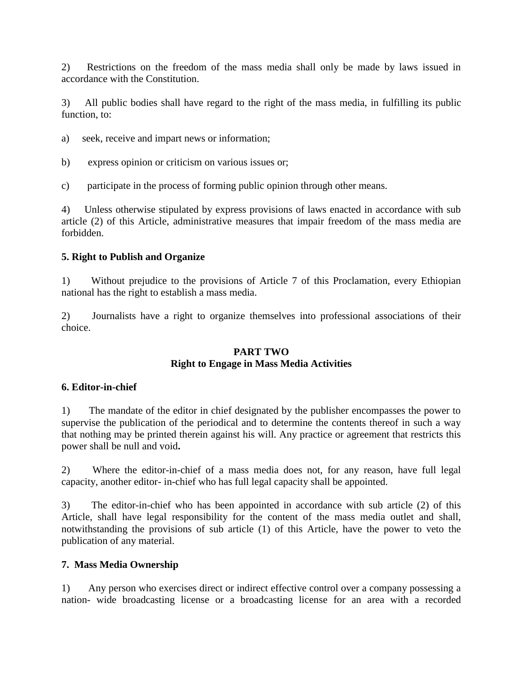2) Restrictions on the freedom of the mass media shall only be made by laws issued in accordance with the Constitution.

3) All public bodies shall have regard to the right of the mass media, in fulfilling its public function, to:

- a) seek, receive and impart news or information;
- b) express opinion or criticism on various issues or;
- c) participate in the process of forming public opinion through other means.

4) Unless otherwise stipulated by express provisions of laws enacted in accordance with sub article (2) of this Article, administrative measures that impair freedom of the mass media are forbidden.

#### **5. Right to Publish and Organize**

1) Without prejudice to the provisions of Article 7 of this Proclamation, every Ethiopian national has the right to establish a mass media.

2) Journalists have a right to organize themselves into professional associations of their choice.

#### **PART TWO Right to Engage in Mass Media Activities**

#### **6. Editor-in-chief**

1) The mandate of the editor in chief designated by the publisher encompasses the power to supervise the publication of the periodical and to determine the contents thereof in such a way that nothing may be printed therein against his will. Any practice or agreement that restricts this power shall be null and void**.**

2) Where the editor-in-chief of a mass media does not, for any reason, have full legal capacity, another editor- in-chief who has full legal capacity shall be appointed.

3) The editor-in-chief who has been appointed in accordance with sub article (2) of this Article, shall have legal responsibility for the content of the mass media outlet and shall, notwithstanding the provisions of sub article (1) of this Article, have the power to veto the publication of any material.

#### **7. Mass Media Ownership**

1) Any person who exercises direct or indirect effective control over a company possessing a nation- wide broadcasting license or a broadcasting license for an area with a recorded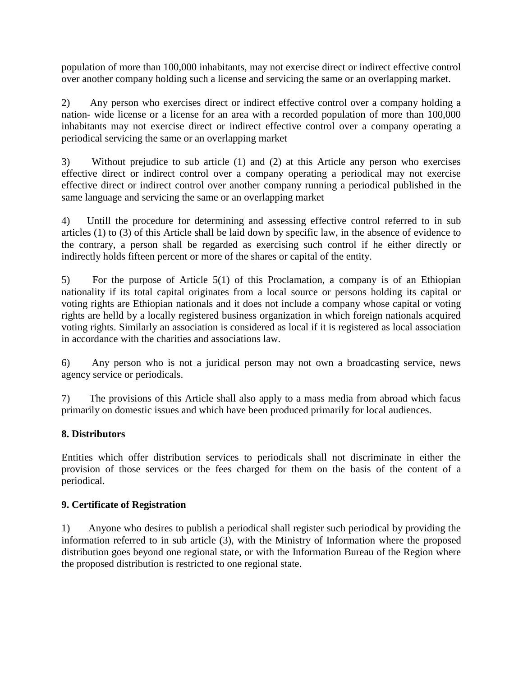population of more than 100,000 inhabitants, may not exercise direct or indirect effective control over another company holding such a license and servicing the same or an overlapping market.

2) Any person who exercises direct or indirect effective control over a company holding a nation- wide license or a license for an area with a recorded population of more than 100,000 inhabitants may not exercise direct or indirect effective control over a company operating a periodical servicing the same or an overlapping market

3) Without prejudice to sub article (1) and (2) at this Article any person who exercises effective direct or indirect control over a company operating a periodical may not exercise effective direct or indirect control over another company running a periodical published in the same language and servicing the same or an overlapping market

4) Untill the procedure for determining and assessing effective control referred to in sub articles (1) to (3) of this Article shall be laid down by specific law, in the absence of evidence to the contrary, a person shall be regarded as exercising such control if he either directly or indirectly holds fifteen percent or more of the shares or capital of the entity.

5) For the purpose of Article 5(1) of this Proclamation, a company is of an Ethiopian nationality if its total capital originates from a local source or persons holding its capital or voting rights are Ethiopian nationals and it does not include a company whose capital or voting rights are helld by a locally registered business organization in which foreign nationals acquired voting rights. Similarly an association is considered as local if it is registered as local association in accordance with the charities and associations law.

6) Any person who is not a juridical person may not own a broadcasting service, news agency service or periodicals.

7) The provisions of this Article shall also apply to a mass media from abroad which facus primarily on domestic issues and which have been produced primarily for local audiences.

# **8. Distributors**

Entities which offer distribution services to periodicals shall not discriminate in either the provision of those services or the fees charged for them on the basis of the content of a periodical.

# **9. Certificate of Registration**

1) Anyone who desires to publish a periodical shall register such periodical by providing the information referred to in sub article (3), with the Ministry of Information where the proposed distribution goes beyond one regional state, or with the Information Bureau of the Region where the proposed distribution is restricted to one regional state.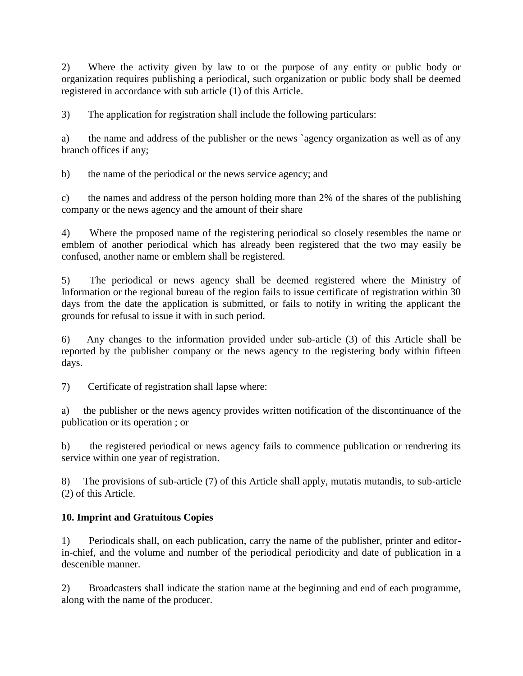2) Where the activity given by law to or the purpose of any entity or public body or organization requires publishing a periodical, such organization or public body shall be deemed registered in accordance with sub article (1) of this Article.

3) The application for registration shall include the following particulars:

a) the name and address of the publisher or the news `agency organization as well as of any branch offices if any;

b) the name of the periodical or the news service agency; and

c) the names and address of the person holding more than 2% of the shares of the publishing company or the news agency and the amount of their share

4) Where the proposed name of the registering periodical so closely resembles the name or emblem of another periodical which has already been registered that the two may easily be confused, another name or emblem shall be registered.

5) The periodical or news agency shall be deemed registered where the Ministry of Information or the regional bureau of the region fails to issue certificate of registration within 30 days from the date the application is submitted, or fails to notify in writing the applicant the grounds for refusal to issue it with in such period.

6) Any changes to the information provided under sub-article (3) of this Article shall be reported by the publisher company or the news agency to the registering body within fifteen days.

7) Certificate of registration shall lapse where:

a) the publisher or the news agency provides written notification of the discontinuance of the publication or its operation ; or

b) the registered periodical or news agency fails to commence publication or rendrering its service within one year of registration.

8) The provisions of sub-article (7) of this Article shall apply, mutatis mutandis, to sub-article (2) of this Article.

# **10. Imprint and Gratuitous Copies**

1) Periodicals shall, on each publication, carry the name of the publisher, printer and editorin-chief, and the volume and number of the periodical periodicity and date of publication in a descenible manner.

2) Broadcasters shall indicate the station name at the beginning and end of each programme, along with the name of the producer.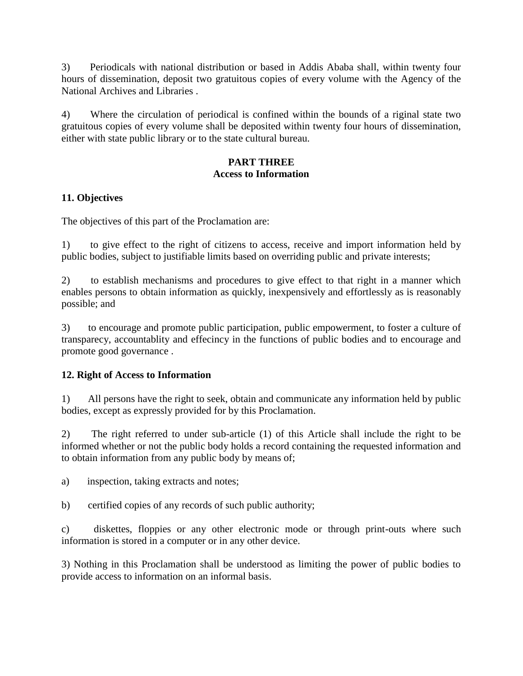3) Periodicals with national distribution or based in Addis Ababa shall, within twenty four hours of dissemination, deposit two gratuitous copies of every volume with the Agency of the National Archives and Libraries .

4) Where the circulation of periodical is confined within the bounds of a riginal state two gratuitous copies of every volume shall be deposited within twenty four hours of dissemination, either with state public library or to the state cultural bureau.

## **PART THREE Access to Information**

## **11. Objectives**

The objectives of this part of the Proclamation are:

1) to give effect to the right of citizens to access, receive and import information held by public bodies, subject to justifiable limits based on overriding public and private interests;

2) to establish mechanisms and procedures to give effect to that right in a manner which enables persons to obtain information as quickly, inexpensively and effortlessly as is reasonably possible; and

3) to encourage and promote public participation, public empowerment, to foster a culture of transparecy, accountablity and effecincy in the functions of public bodies and to encourage and promote good governance .

## **12. Right of Access to Information**

1) All persons have the right to seek, obtain and communicate any information held by public bodies, except as expressly provided for by this Proclamation.

2) The right referred to under sub-article (1) of this Article shall include the right to be informed whether or not the public body holds a record containing the requested information and to obtain information from any public body by means of;

a) inspection, taking extracts and notes;

b) certified copies of any records of such public authority;

c) diskettes, floppies or any other electronic mode or through print-outs where such information is stored in a computer or in any other device.

3) Nothing in this Proclamation shall be understood as limiting the power of public bodies to provide access to information on an informal basis.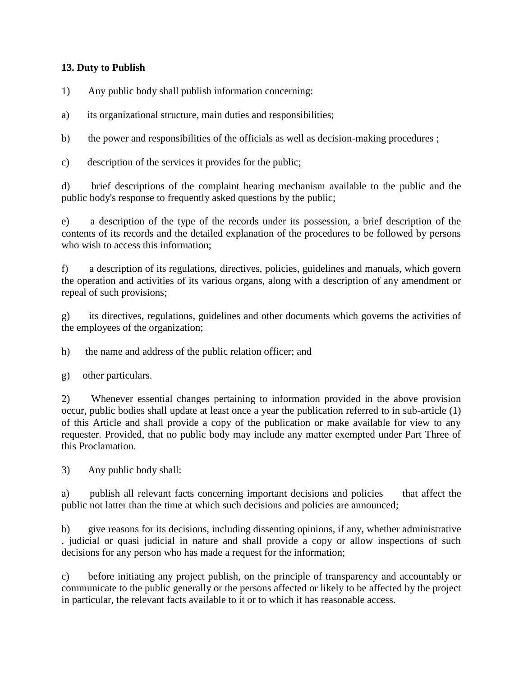## **13. Duty to Publish**

1) Any public body shall publish information concerning:

a) its organizational structure, main duties and responsibilities;

b) the power and responsibilities of the officials as well as decision-making procedures ;

c) description of the services it provides for the public;

d) brief descriptions of the complaint hearing mechanism available to the public and the public body's response to frequently asked questions by the public;

e) a description of the type of the records under its possession, a brief description of the contents of its records and the detailed explanation of the procedures to be followed by persons who wish to access this information;

f) a description of its regulations, directives, policies, guidelines and manuals, which govern the operation and activities of its various organs, along with a description of any amendment or repeal of such provisions;

g) its directives, regulations, guidelines and other documents which governs the activities of the employees of the organization;

h) the name and address of the public relation officer; and

g) other particulars.

2) Whenever essential changes pertaining to information provided in the above provision occur, public bodies shall update at least once a year the publication referred to in sub-article (1) of this Article and shall provide a copy of the publication or make available for view to any requester. Provided, that no public body may include any matter exempted under Part Three of this Proclamation.

3) Any public body shall:

a) publish all relevant facts concerning important decisions and policies that affect the public not latter than the time at which such decisions and policies are announced;

b) give reasons for its decisions, including dissenting opinions, if any, whether administrative , judicial or quasi judicial in nature and shall provide a copy or allow inspections of such decisions for any person who has made a request for the information;

c) before initiating any project publish, on the principle of transparency and accountably or communicate to the public generally or the persons affected or likely to be affected by the project in particular, the relevant facts available to it or to which it has reasonable access.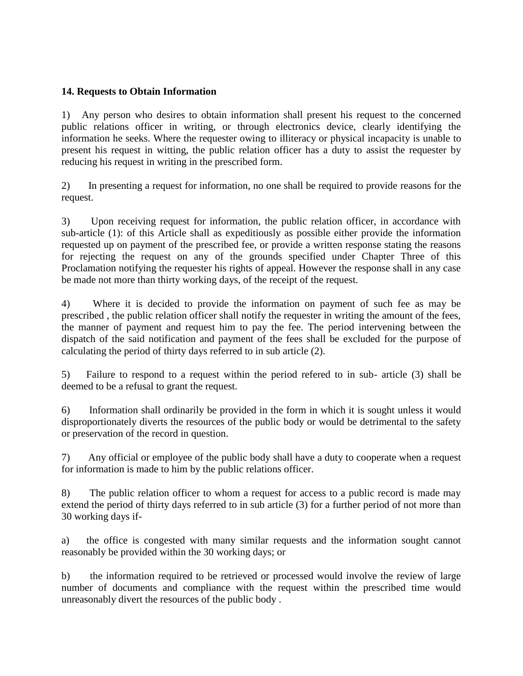#### **14. Requests to Obtain Information**

1) Any person who desires to obtain information shall present his request to the concerned public relations officer in writing, or through electronics device, clearly identifying the information he seeks. Where the requester owing to illiteracy or physical incapacity is unable to present his request in witting, the public relation officer has a duty to assist the requester by reducing his request in writing in the prescribed form.

2) In presenting a request for information, no one shall be required to provide reasons for the request.

3) Upon receiving request for information, the public relation officer, in accordance with sub-article (1): of this Article shall as expeditiously as possible either provide the information requested up on payment of the prescribed fee, or provide a written response stating the reasons for rejecting the request on any of the grounds specified under Chapter Three of this Proclamation notifying the requester his rights of appeal. However the response shall in any case be made not more than thirty working days, of the receipt of the request.

4) Where it is decided to provide the information on payment of such fee as may be prescribed , the public relation officer shall notify the requester in writing the amount of the fees, the manner of payment and request him to pay the fee. The period intervening between the dispatch of the said notification and payment of the fees shall be excluded for the purpose of calculating the period of thirty days referred to in sub article (2).

5) Failure to respond to a request within the period refered to in sub- article (3) shall be deemed to be a refusal to grant the request.

6) Information shall ordinarily be provided in the form in which it is sought unless it would disproportionately diverts the resources of the public body or would be detrimental to the safety or preservation of the record in question.

7) Any official or employee of the public body shall have a duty to cooperate when a request for information is made to him by the public relations officer.

8) The public relation officer to whom a request for access to a public record is made may extend the period of thirty days referred to in sub article (3) for a further period of not more than 30 working days if-

a) the office is congested with many similar requests and the information sought cannot reasonably be provided within the 30 working days; or

b) the information required to be retrieved or processed would involve the review of large number of documents and compliance with the request within the prescribed time would unreasonably divert the resources of the public body .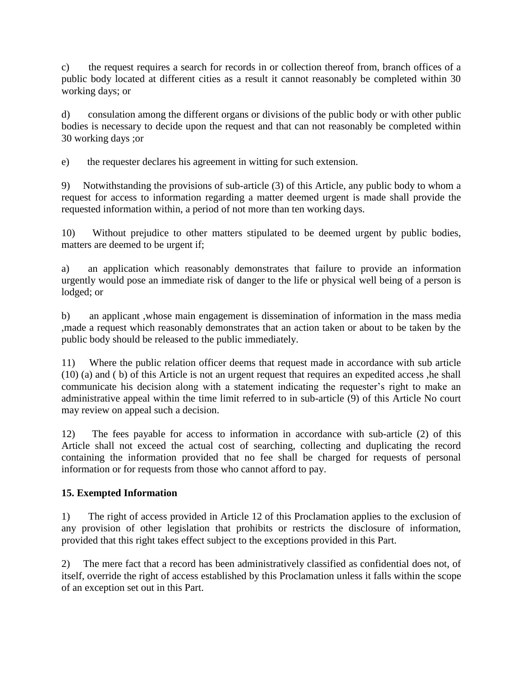c) the request requires a search for records in or collection thereof from, branch offices of a public body located at different cities as a result it cannot reasonably be completed within 30 working days; or

d) consulation among the different organs or divisions of the public body or with other public bodies is necessary to decide upon the request and that can not reasonably be completed within 30 working days ;or

e) the requester declares his agreement in witting for such extension.

9) Notwithstanding the provisions of sub-article (3) of this Article, any public body to whom a request for access to information regarding a matter deemed urgent is made shall provide the requested information within, a period of not more than ten working days.

10) Without prejudice to other matters stipulated to be deemed urgent by public bodies, matters are deemed to be urgent if;

a) an application which reasonably demonstrates that failure to provide an information urgently would pose an immediate risk of danger to the life or physical well being of a person is lodged; or

b) an applicant ,whose main engagement is dissemination of information in the mass media ,made a request which reasonably demonstrates that an action taken or about to be taken by the public body should be released to the public immediately.

11) Where the public relation officer deems that request made in accordance with sub article (10) (a) and ( b) of this Article is not an urgent request that requires an expedited access ,he shall communicate his decision along with a statement indicating the requester's right to make an administrative appeal within the time limit referred to in sub-article (9) of this Article No court may review on appeal such a decision.

12) The fees payable for access to information in accordance with sub-article (2) of this Article shall not exceed the actual cost of searching, collecting and duplicating the record containing the information provided that no fee shall be charged for requests of personal information or for requests from those who cannot afford to pay.

# **15. Exempted Information**

1) The right of access provided in Article 12 of this Proclamation applies to the exclusion of any provision of other legislation that prohibits or restricts the disclosure of information, provided that this right takes effect subject to the exceptions provided in this Part.

2) The mere fact that a record has been administratively classified as confidential does not, of itself, override the right of access established by this Proclamation unless it falls within the scope of an exception set out in this Part.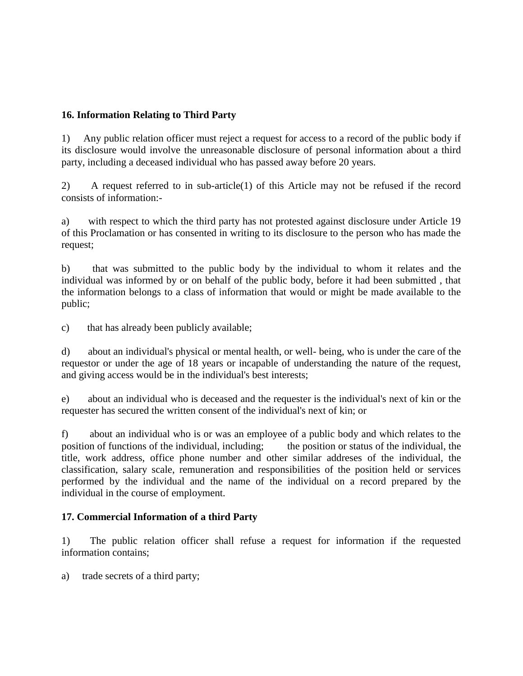## **16. Information Relating to Third Party**

1) Any public relation officer must reject a request for access to a record of the public body if its disclosure would involve the unreasonable disclosure of personal information about a third party, including a deceased individual who has passed away before 20 years.

2) A request referred to in sub-article(1) of this Article may not be refused if the record consists of information:-

a) with respect to which the third party has not protested against disclosure under Article 19 of this Proclamation or has consented in writing to its disclosure to the person who has made the request;

b) that was submitted to the public body by the individual to whom it relates and the individual was informed by or on behalf of the public body, before it had been submitted , that the information belongs to a class of information that would or might be made available to the public;

c) that has already been publicly available;

d) about an individual's physical or mental health, or well- being, who is under the care of the requestor or under the age of 18 years or incapable of understanding the nature of the request, and giving access would be in the individual's best interests;

e) about an individual who is deceased and the requester is the individual's next of kin or the requester has secured the written consent of the individual's next of kin; or

f) about an individual who is or was an employee of a public body and which relates to the position of functions of the individual, including; the position or status of the individual, the title, work address, office phone number and other similar addreses of the individual, the classification, salary scale, remuneration and responsibilities of the position held or services performed by the individual and the name of the individual on a record prepared by the individual in the course of employment.

#### **17. Commercial Information of a third Party**

1) The public relation officer shall refuse a request for information if the requested information contains;

a) trade secrets of a third party;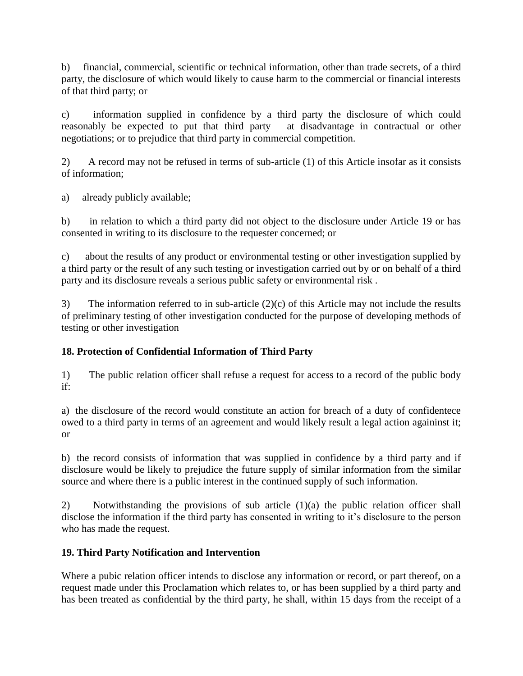b) financial, commercial, scientific or technical information, other than trade secrets, of a third party, the disclosure of which would likely to cause harm to the commercial or financial interests of that third party; or

c) information supplied in confidence by a third party the disclosure of which could reasonably be expected to put that third party at disadvantage in contractual or other negotiations; or to prejudice that third party in commercial competition.

2) A record may not be refused in terms of sub-article (1) of this Article insofar as it consists of information;

a) already publicly available;

b) in relation to which a third party did not object to the disclosure under Article 19 or has consented in writing to its disclosure to the requester concerned; or

c) about the results of any product or environmental testing or other investigation supplied by a third party or the result of any such testing or investigation carried out by or on behalf of a third party and its disclosure reveals a serious public safety or environmental risk .

3) The information referred to in sub-article (2)(c) of this Article may not include the results of preliminary testing of other investigation conducted for the purpose of developing methods of testing or other investigation

# **18. Protection of Confidential Information of Third Party**

1) The public relation officer shall refuse a request for access to a record of the public body if:

a) the disclosure of the record would constitute an action for breach of a duty of confidentece owed to a third party in terms of an agreement and would likely result a legal action againinst it; or

b) the record consists of information that was supplied in confidence by a third party and if disclosure would be likely to prejudice the future supply of similar information from the similar source and where there is a public interest in the continued supply of such information.

2) Notwithstanding the provisions of sub article (1)(a) the public relation officer shall disclose the information if the third party has consented in writing to it's disclosure to the person who has made the request.

# **19. Third Party Notification and Intervention**

Where a pubic relation officer intends to disclose any information or record, or part thereof, on a request made under this Proclamation which relates to, or has been supplied by a third party and has been treated as confidential by the third party, he shall, within 15 days from the receipt of a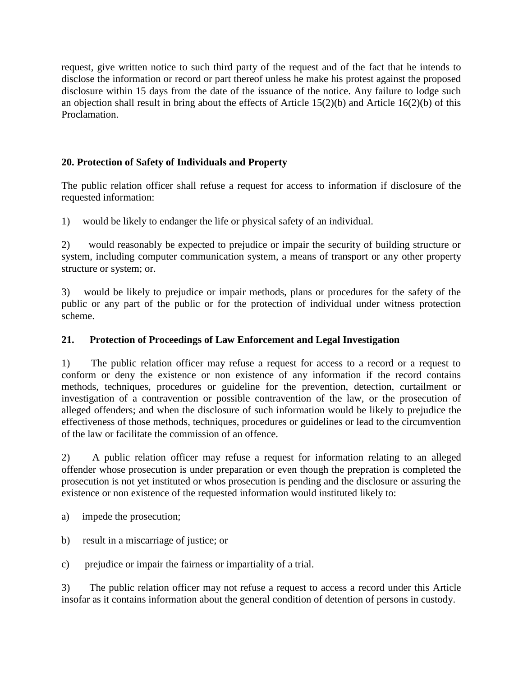request, give written notice to such third party of the request and of the fact that he intends to disclose the information or record or part thereof unless he make his protest against the proposed disclosure within 15 days from the date of the issuance of the notice. Any failure to lodge such an objection shall result in bring about the effects of Article 15(2)(b) and Article 16(2)(b) of this Proclamation.

# **20. Protection of Safety of Individuals and Property**

The public relation officer shall refuse a request for access to information if disclosure of the requested information:

1) would be likely to endanger the life or physical safety of an individual.

2) would reasonably be expected to prejudice or impair the security of building structure or system, including computer communication system, a means of transport or any other property structure or system; or.

3) would be likely to prejudice or impair methods, plans or procedures for the safety of the public or any part of the public or for the protection of individual under witness protection scheme.

# **21. Protection of Proceedings of Law Enforcement and Legal Investigation**

1) The public relation officer may refuse a request for access to a record or a request to conform or deny the existence or non existence of any information if the record contains methods, techniques, procedures or guideline for the prevention, detection, curtailment or investigation of a contravention or possible contravention of the law, or the prosecution of alleged offenders; and when the disclosure of such information would be likely to prejudice the effectiveness of those methods, techniques, procedures or guidelines or lead to the circumvention of the law or facilitate the commission of an offence.

2) A public relation officer may refuse a request for information relating to an alleged offender whose prosecution is under preparation or even though the prepration is completed the prosecution is not yet instituted or whos prosecution is pending and the disclosure or assuring the existence or non existence of the requested information would instituted likely to:

a) impede the prosecution;

b) result in a miscarriage of justice; or

c) prejudice or impair the fairness or impartiality of a trial.

3) The public relation officer may not refuse a request to access a record under this Article insofar as it contains information about the general condition of detention of persons in custody.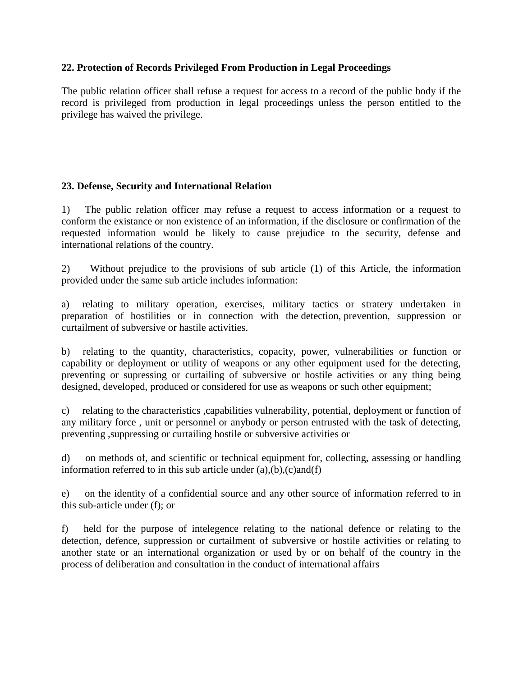#### **22. Protection of Records Privileged From Production in Legal Proceedings**

The public relation officer shall refuse a request for access to a record of the public body if the record is privileged from production in legal proceedings unless the person entitled to the privilege has waived the privilege.

#### **23. Defense, Security and International Relation**

1) The public relation officer may refuse a request to access information or a request to conform the existance or non existence of an information, if the disclosure or confirmation of the requested information would be likely to cause prejudice to the security, defense and international relations of the country.

2) Without prejudice to the provisions of sub article (1) of this Article, the information provided under the same sub article includes information:

a) relating to military operation, exercises, military tactics or stratery undertaken in preparation of hostilities or in connection with the detection, prevention, suppression or curtailment of subversive or hastile activities.

b) relating to the quantity, characteristics, copacity, power, vulnerabilities or function or capability or deployment or utility of weapons or any other equipment used for the detecting, preventing or supressing or curtailing of subversive or hostile activities or any thing being designed, developed, produced or considered for use as weapons or such other equipment;

c) relating to the characteristics ,capabilities vulnerability, potential, deployment or function of any military force , unit or personnel or anybody or person entrusted with the task of detecting, preventing ,suppressing or curtailing hostile or subversive activities or

d) on methods of, and scientific or technical equipment for, collecting, assessing or handling information referred to in this sub article under  $(a),(b),(c)$  and  $(f)$ 

e) on the identity of a confidential source and any other source of information referred to in this sub-article under (f); or

f) held for the purpose of intelegence relating to the national defence or relating to the detection, defence, suppression or curtailment of subversive or hostile activities or relating to another state or an international organization or used by or on behalf of the country in the process of deliberation and consultation in the conduct of international affairs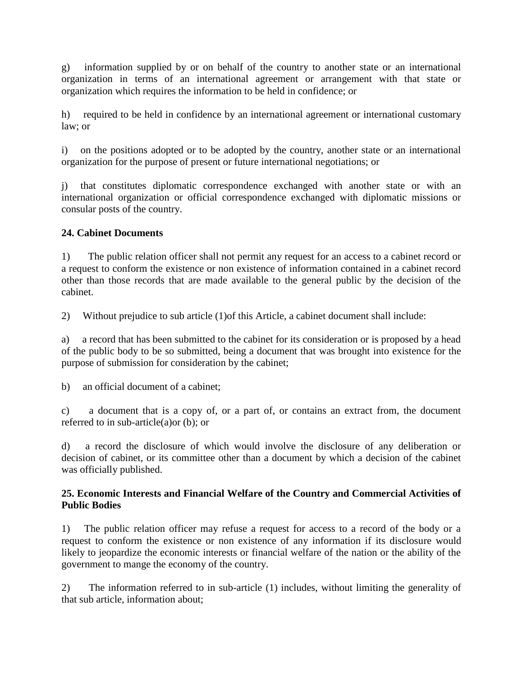g) information supplied by or on behalf of the country to another state or an international organization in terms of an international agreement or arrangement with that state or organization which requires the information to be held in confidence; or

h) required to be held in confidence by an international agreement or international customary law; or

i) on the positions adopted or to be adopted by the country, another state or an international organization for the purpose of present or future international negotiations; or

j) that constitutes diplomatic correspondence exchanged with another state or with an international organization or official correspondence exchanged with diplomatic missions or consular posts of the country.

## **24. Cabinet Documents**

1) The public relation officer shall not permit any request for an access to a cabinet record or a request to conform the existence or non existence of information contained in a cabinet record other than those records that are made available to the general public by the decision of the cabinet.

2) Without prejudice to sub article (1)of this Article, a cabinet document shall include:

a) a record that has been submitted to the cabinet for its consideration or is proposed by a head of the public body to be so submitted, being a document that was brought into existence for the purpose of submission for consideration by the cabinet;

b) an official document of a cabinet;

c) a document that is a copy of, or a part of, or contains an extract from, the document referred to in sub-article(a)or (b); or

d) a record the disclosure of which would involve the disclosure of any deliberation or decision of cabinet, or its committee other than a document by which a decision of the cabinet was officially published.

#### **25. Economic Interests and Financial Welfare of the Country and Commercial Activities of Public Bodies**

1) The public relation officer may refuse a request for access to a record of the body or a request to conform the existence or non existence of any information if its disclosure would likely to jeopardize the economic interests or financial welfare of the nation or the ability of the government to mange the economy of the country.

2) The information referred to in sub-article (1) includes, without limiting the generality of that sub article, information about;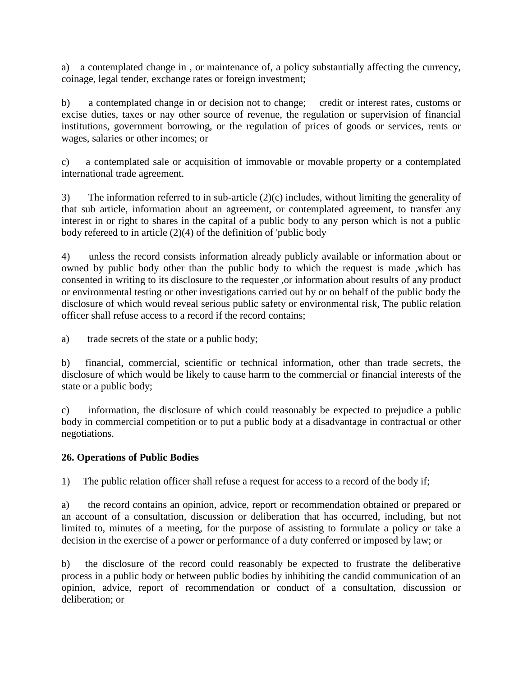a) a contemplated change in , or maintenance of, a policy substantially affecting the currency, coinage, legal tender, exchange rates or foreign investment;

b) a contemplated change in or decision not to change; credit or interest rates, customs or excise duties, taxes or nay other source of revenue, the regulation or supervision of financial institutions, government borrowing, or the regulation of prices of goods or services, rents or wages, salaries or other incomes; or

c) a contemplated sale or acquisition of immovable or movable property or a contemplated international trade agreement.

3) The information referred to in sub-article (2)(c) includes, without limiting the generality of that sub article, information about an agreement, or contemplated agreement, to transfer any interest in or right to shares in the capital of a public body to any person which is not a public body refereed to in article (2)(4) of the definition of 'public body

4) unless the record consists information already publicly available or information about or owned by public body other than the public body to which the request is made ,which has consented in writing to its disclosure to the requester ,or information about results of any product or environmental testing or other investigations carried out by or on behalf of the public body the disclosure of which would reveal serious public safety or environmental risk, The public relation officer shall refuse access to a record if the record contains;

a) trade secrets of the state or a public body;

b) financial, commercial, scientific or technical information, other than trade secrets, the disclosure of which would be likely to cause harm to the commercial or financial interests of the state or a public body;

c) information, the disclosure of which could reasonably be expected to prejudice a public body in commercial competition or to put a public body at a disadvantage in contractual or other negotiations.

# **26. Operations of Public Bodies**

1) The public relation officer shall refuse a request for access to a record of the body if;

a) the record contains an opinion, advice, report or recommendation obtained or prepared or an account of a consultation, discussion or deliberation that has occurred, including, but not limited to, minutes of a meeting, for the purpose of assisting to formulate a policy or take a decision in the exercise of a power or performance of a duty conferred or imposed by law; or

b) the disclosure of the record could reasonably be expected to frustrate the deliberative process in a public body or between public bodies by inhibiting the candid communication of an opinion, advice, report of recommendation or conduct of a consultation, discussion or deliberation; or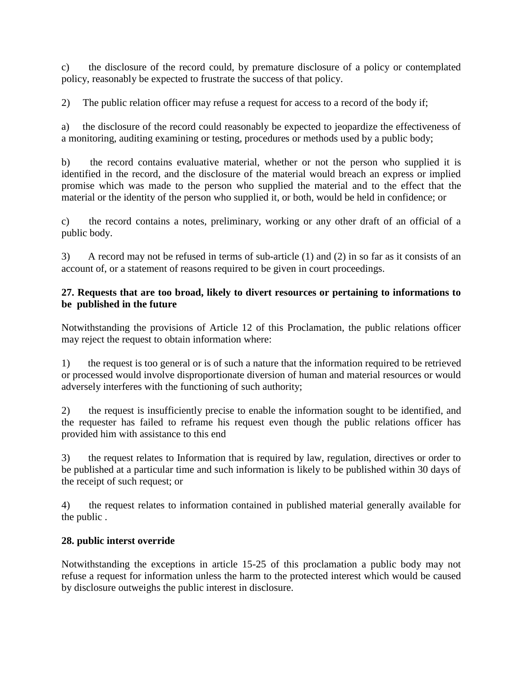c) the disclosure of the record could, by premature disclosure of a policy or contemplated policy, reasonably be expected to frustrate the success of that policy.

2) The public relation officer may refuse a request for access to a record of the body if;

a) the disclosure of the record could reasonably be expected to jeopardize the effectiveness of a monitoring, auditing examining or testing, procedures or methods used by a public body;

b) the record contains evaluative material, whether or not the person who supplied it is identified in the record, and the disclosure of the material would breach an express or implied promise which was made to the person who supplied the material and to the effect that the material or the identity of the person who supplied it, or both, would be held in confidence; or

c) the record contains a notes, preliminary, working or any other draft of an official of a public body.

3) A record may not be refused in terms of sub-article (1) and (2) in so far as it consists of an account of, or a statement of reasons required to be given in court proceedings.

## **27. Requests that are too broad, likely to divert resources or pertaining to informations to be published in the future**

Notwithstanding the provisions of Article 12 of this Proclamation, the public relations officer may reject the request to obtain information where:

1) the request is too general or is of such a nature that the information required to be retrieved or processed would involve disproportionate diversion of human and material resources or would adversely interferes with the functioning of such authority;

2) the request is insufficiently precise to enable the information sought to be identified, and the requester has failed to reframe his request even though the public relations officer has provided him with assistance to this end

3) the request relates to Information that is required by law, regulation, directives or order to be published at a particular time and such information is likely to be published within 30 days of the receipt of such request; or

4) the request relates to information contained in published material generally available for the public .

# **28. public interst override**

Notwithstanding the exceptions in article 15-25 of this proclamation a public body may not refuse a request for information unless the harm to the protected interest which would be caused by disclosure outweighs the public interest in disclosure.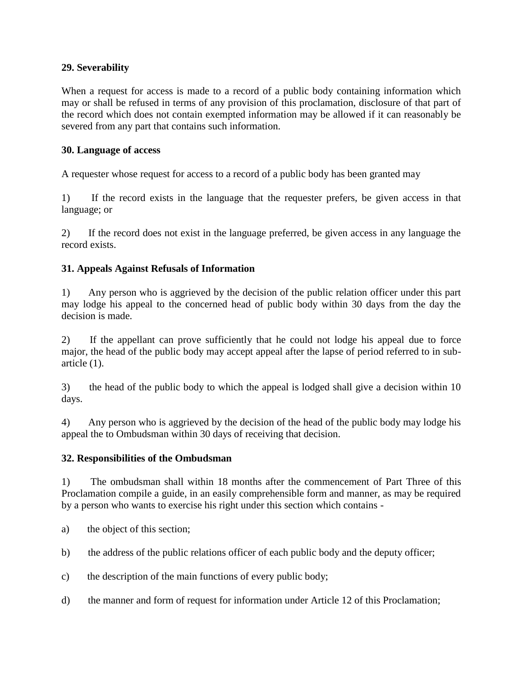#### **29. Severability**

When a request for access is made to a record of a public body containing information which may or shall be refused in terms of any provision of this proclamation, disclosure of that part of the record which does not contain exempted information may be allowed if it can reasonably be severed from any part that contains such information.

#### **30. Language of access**

A requester whose request for access to a record of a public body has been granted may

1) If the record exists in the language that the requester prefers, be given access in that language; or

2) If the record does not exist in the language preferred, be given access in any language the record exists.

#### **31. Appeals Against Refusals of Information**

1) Any person who is aggrieved by the decision of the public relation officer under this part may lodge his appeal to the concerned head of public body within 30 days from the day the decision is made.

2) If the appellant can prove sufficiently that he could not lodge his appeal due to force major, the head of the public body may accept appeal after the lapse of period referred to in subarticle (1).

3) the head of the public body to which the appeal is lodged shall give a decision within 10 days.

4) Any person who is aggrieved by the decision of the head of the public body may lodge his appeal the to Ombudsman within 30 days of receiving that decision.

#### **32. Responsibilities of the Ombudsman**

1) The ombudsman shall within 18 months after the commencement of Part Three of this Proclamation compile a guide, in an easily comprehensible form and manner, as may be required by a person who wants to exercise his right under this section which contains -

- a) the object of this section;
- b) the address of the public relations officer of each public body and the deputy officer;
- c) the description of the main functions of every public body;
- d) the manner and form of request for information under Article 12 of this Proclamation;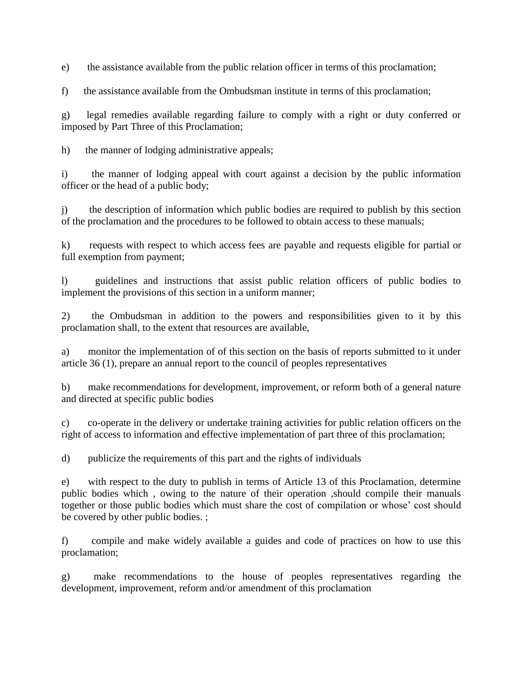e) the assistance available from the public relation officer in terms of this proclamation;

f) the assistance available from the Ombudsman institute in terms of this proclamation;

g) legal remedies available regarding failure to comply with a right or duty conferred or imposed by Part Three of this Proclamation;

h) the manner of lodging administrative appeals;

i) the manner of lodging appeal with court against a decision by the public information officer or the head of a public body;

j) the description of information which public bodies are required to publish by this section of the proclamation and the procedures to be followed to obtain access to these manuals;

k) requests with respect to which access fees are payable and requests eligible for partial or full exemption from payment;

l) guidelines and instructions that assist public relation officers of public bodies to implement the provisions of this section in a uniform manner;

2) the Ombudsman in addition to the powers and responsibilities given to it by this proclamation shall, to the extent that resources are available,

a) monitor the implementation of of this section on the basis of reports submitted to it under article 36 (1), prepare an annual report to the council of peoples representatives

b) make recommendations for development, improvement, or reform both of a general nature and directed at specific public bodies

c) co-operate in the delivery or undertake training activities for public relation officers on the right of access to information and effective implementation of part three of this proclamation;

d) publicize the requirements of this part and the rights of individuals

e) with respect to the duty to publish in terms of Article 13 of this Proclamation, determine public bodies which , owing to the nature of their operation ,should compile their manuals together or those public bodies which must share the cost of compilation or whose' cost should be covered by other public bodies. ;

f) compile and make widely available a guides and code of practices on how to use this proclamation;

g) make recommendations to the house of peoples representatives regarding the development, improvement, reform and/or amendment of this proclamation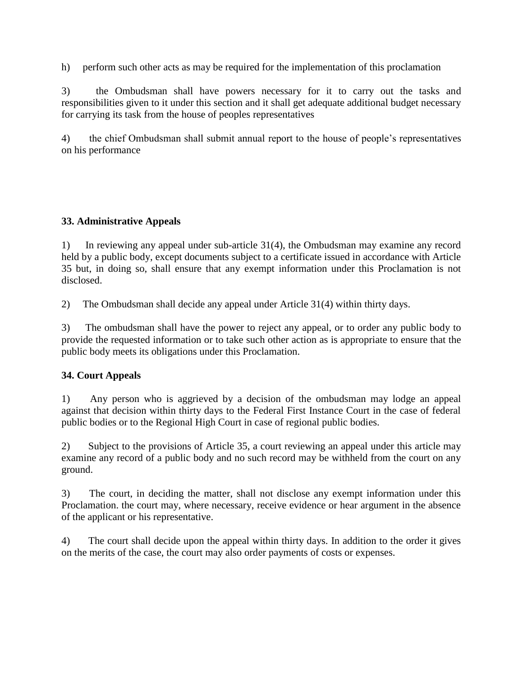h) perform such other acts as may be required for the implementation of this proclamation

3) the Ombudsman shall have powers necessary for it to carry out the tasks and responsibilities given to it under this section and it shall get adequate additional budget necessary for carrying its task from the house of peoples representatives

4) the chief Ombudsman shall submit annual report to the house of people's representatives on his performance

## **33. Administrative Appeals**

1) In reviewing any appeal under sub-article 31(4), the Ombudsman may examine any record held by a public body, except documents subject to a certificate issued in accordance with Article 35 but, in doing so, shall ensure that any exempt information under this Proclamation is not disclosed.

2) The Ombudsman shall decide any appeal under Article 31(4) within thirty days.

3) The ombudsman shall have the power to reject any appeal, or to order any public body to provide the requested information or to take such other action as is appropriate to ensure that the public body meets its obligations under this Proclamation.

#### **34. Court Appeals**

1) Any person who is aggrieved by a decision of the ombudsman may lodge an appeal against that decision within thirty days to the Federal First Instance Court in the case of federal public bodies or to the Regional High Court in case of regional public bodies.

2) Subject to the provisions of Article 35, a court reviewing an appeal under this article may examine any record of a public body and no such record may be withheld from the court on any ground.

3) The court, in deciding the matter, shall not disclose any exempt information under this Proclamation. the court may, where necessary, receive evidence or hear argument in the absence of the applicant or his representative.

4) The court shall decide upon the appeal within thirty days. In addition to the order it gives on the merits of the case, the court may also order payments of costs or expenses.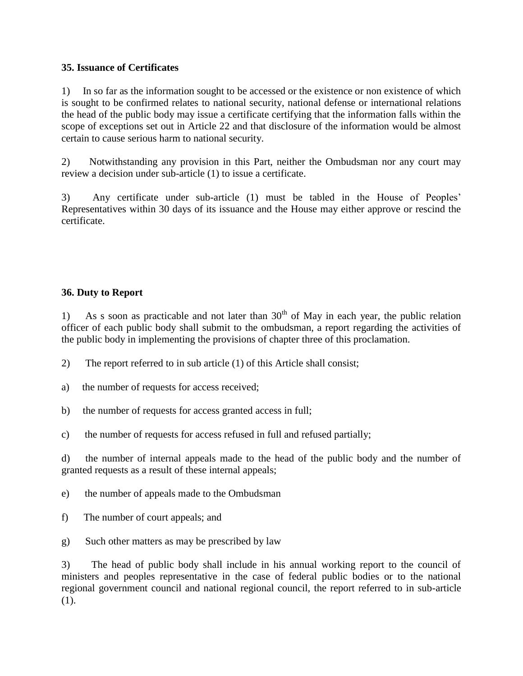#### **35. Issuance of Certificates**

1) In so far as the information sought to be accessed or the existence or non existence of which is sought to be confirmed relates to national security, national defense or international relations the head of the public body may issue a certificate certifying that the information falls within the scope of exceptions set out in Article 22 and that disclosure of the information would be almost certain to cause serious harm to national security.

2) Notwithstanding any provision in this Part, neither the Ombudsman nor any court may review a decision under sub-article (1) to issue a certificate.

3) Any certificate under sub-article (1) must be tabled in the House of Peoples' Representatives within 30 days of its issuance and the House may either approve or rescind the certificate.

## **36. Duty to Report**

1) As s soon as practicable and not later than  $30<sup>th</sup>$  of May in each year, the public relation officer of each public body shall submit to the ombudsman, a report regarding the activities of the public body in implementing the provisions of chapter three of this proclamation.

2) The report referred to in sub article (1) of this Article shall consist;

a) the number of requests for access received;

- b) the number of requests for access granted access in full;
- c) the number of requests for access refused in full and refused partially;

d) the number of internal appeals made to the head of the public body and the number of granted requests as a result of these internal appeals;

- e) the number of appeals made to the Ombudsman
- f) The number of court appeals; and
- g) Such other matters as may be prescribed by law

3) The head of public body shall include in his annual working report to the council of ministers and peoples representative in the case of federal public bodies or to the national regional government council and national regional council, the report referred to in sub-article (1).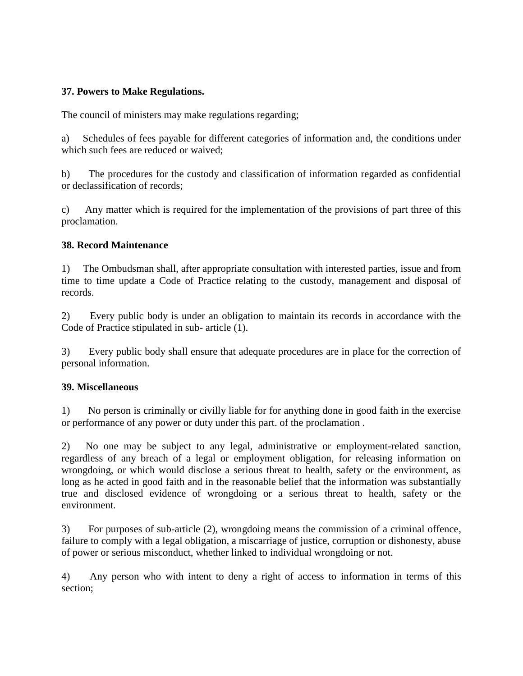#### **37. Powers to Make Regulations.**

The council of ministers may make regulations regarding;

a) Schedules of fees payable for different categories of information and, the conditions under which such fees are reduced or waived;

b) The procedures for the custody and classification of information regarded as confidential or declassification of records;

c) Any matter which is required for the implementation of the provisions of part three of this proclamation.

#### **38. Record Maintenance**

1) The Ombudsman shall, after appropriate consultation with interested parties, issue and from time to time update a Code of Practice relating to the custody, management and disposal of records.

2) Every public body is under an obligation to maintain its records in accordance with the Code of Practice stipulated in sub- article (1).

3) Every public body shall ensure that adequate procedures are in place for the correction of personal information.

#### **39. Miscellaneous**

1) No person is criminally or civilly liable for for anything done in good faith in the exercise or performance of any power or duty under this part. of the proclamation .

2) No one may be subject to any legal, administrative or employment-related sanction, regardless of any breach of a legal or employment obligation, for releasing information on wrongdoing, or which would disclose a serious threat to health, safety or the environment, as long as he acted in good faith and in the reasonable belief that the information was substantially true and disclosed evidence of wrongdoing or a serious threat to health, safety or the environment.

3) For purposes of sub-article (2), wrongdoing means the commission of a criminal offence, failure to comply with a legal obligation, a miscarriage of justice, corruption or dishonesty, abuse of power or serious misconduct, whether linked to individual wrongdoing or not.

4) Any person who with intent to deny a right of access to information in terms of this section;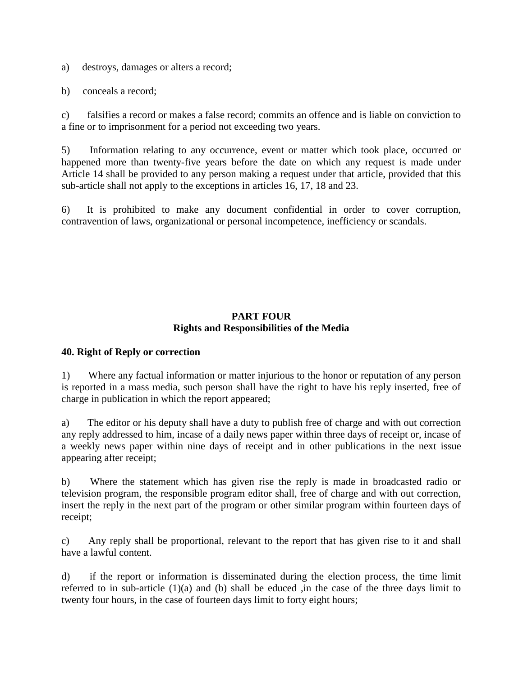a) destroys, damages or alters a record;

b) conceals a record;

c) falsifies a record or makes a false record; commits an offence and is liable on conviction to a fine or to imprisonment for a period not exceeding two years.

5) Information relating to any occurrence, event or matter which took place, occurred or happened more than twenty-five years before the date on which any request is made under Article 14 shall be provided to any person making a request under that article, provided that this sub-article shall not apply to the exceptions in articles 16, 17, 18 and 23.

6) It is prohibited to make any document confidential in order to cover corruption, contravention of laws, organizational or personal incompetence, inefficiency or scandals.

#### **PART FOUR Rights and Responsibilities of the Media**

#### **40. Right of Reply or correction**

1) Where any factual information or matter injurious to the honor or reputation of any person is reported in a mass media, such person shall have the right to have his reply inserted, free of charge in publication in which the report appeared;

a) The editor or his deputy shall have a duty to publish free of charge and with out correction any reply addressed to him, incase of a daily news paper within three days of receipt or, incase of a weekly news paper within nine days of receipt and in other publications in the next issue appearing after receipt;

b) Where the statement which has given rise the reply is made in broadcasted radio or television program, the responsible program editor shall, free of charge and with out correction, insert the reply in the next part of the program or other similar program within fourteen days of receipt;

c) Any reply shall be proportional, relevant to the report that has given rise to it and shall have a lawful content.

d) if the report or information is disseminated during the election process, the time limit referred to in sub-article (1)(a) and (b) shall be educed ,in the case of the three days limit to twenty four hours, in the case of fourteen days limit to forty eight hours;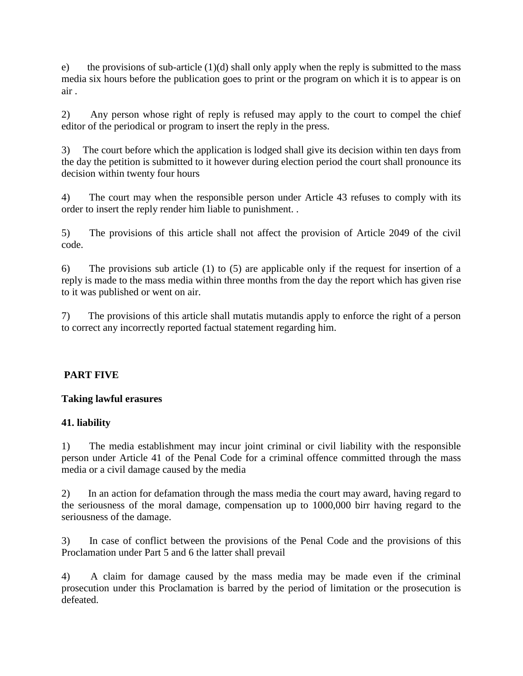e) the provisions of sub-article  $(1)(d)$  shall only apply when the reply is submitted to the mass media six hours before the publication goes to print or the program on which it is to appear is on air .

2) Any person whose right of reply is refused may apply to the court to compel the chief editor of the periodical or program to insert the reply in the press.

3) The court before which the application is lodged shall give its decision within ten days from the day the petition is submitted to it however during election period the court shall pronounce its decision within twenty four hours

4) The court may when the responsible person under Article 43 refuses to comply with its order to insert the reply render him liable to punishment. .

5) The provisions of this article shall not affect the provision of Article 2049 of the civil code.

6) The provisions sub article (1) to (5) are applicable only if the request for insertion of a reply is made to the mass media within three months from the day the report which has given rise to it was published or went on air.

7) The provisions of this article shall mutatis mutandis apply to enforce the right of a person to correct any incorrectly reported factual statement regarding him.

#### **PART FIVE**

#### **Taking lawful erasures**

#### **41. liability**

1) The media establishment may incur joint criminal or civil liability with the responsible person under Article 41 of the Penal Code for a criminal offence committed through the mass media or a civil damage caused by the media

2) In an action for defamation through the mass media the court may award, having regard to the seriousness of the moral damage, compensation up to 1000,000 birr having regard to the seriousness of the damage.

3) In case of conflict between the provisions of the Penal Code and the provisions of this Proclamation under Part 5 and 6 the latter shall prevail

4) A claim for damage caused by the mass media may be made even if the criminal prosecution under this Proclamation is barred by the period of limitation or the prosecution is defeated.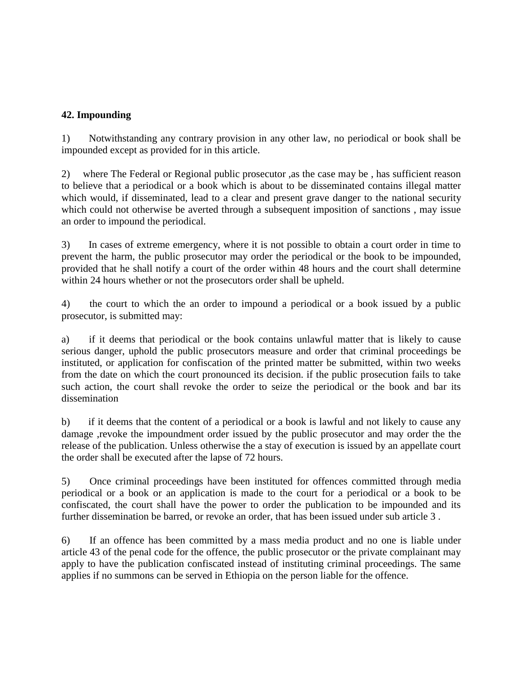## **42. Impounding**

1) Notwithstanding any contrary provision in any other law, no periodical or book shall be impounded except as provided for in this article.

2) where The Federal or Regional public prosecutor ,as the case may be , has sufficient reason to believe that a periodical or a book which is about to be disseminated contains illegal matter which would, if disseminated, lead to a clear and present grave danger to the national security which could not otherwise be averted through a subsequent imposition of sanctions , may issue an order to impound the periodical.

3) In cases of extreme emergency, where it is not possible to obtain a court order in time to prevent the harm, the public prosecutor may order the periodical or the book to be impounded, provided that he shall notify a court of the order within 48 hours and the court shall determine within 24 hours whether or not the prosecutors order shall be upheld.

4) the court to which the an order to impound a periodical or a book issued by a public prosecutor, is submitted may:

a) if it deems that periodical or the book contains unlawful matter that is likely to cause serious danger, uphold the public prosecutors measure and order that criminal proceedings be instituted, or application for confiscation of the printed matter be submitted, within two weeks from the date on which the court pronounced its decision. if the public prosecution fails to take such action, the court shall revoke the order to seize the periodical or the book and bar its dissemination

b) if it deems that the content of a periodical or a book is lawful and not likely to cause any damage ,revoke the impoundment order issued by the public prosecutor and may order the the release of the publication. Unless otherwise the a stay of execution is issued by an appellate court the order shall be executed after the lapse of 72 hours.

5) Once criminal proceedings have been instituted for offences committed through media periodical or a book or an application is made to the court for a periodical or a book to be confiscated, the court shall have the power to order the publication to be impounded and its further dissemination be barred, or revoke an order, that has been issued under sub article 3 .

6) If an offence has been committed by a mass media product and no one is liable under article 43 of the penal code for the offence, the public prosecutor or the private complainant may apply to have the publication confiscated instead of instituting criminal proceedings. The same applies if no summons can be served in Ethiopia on the person liable for the offence.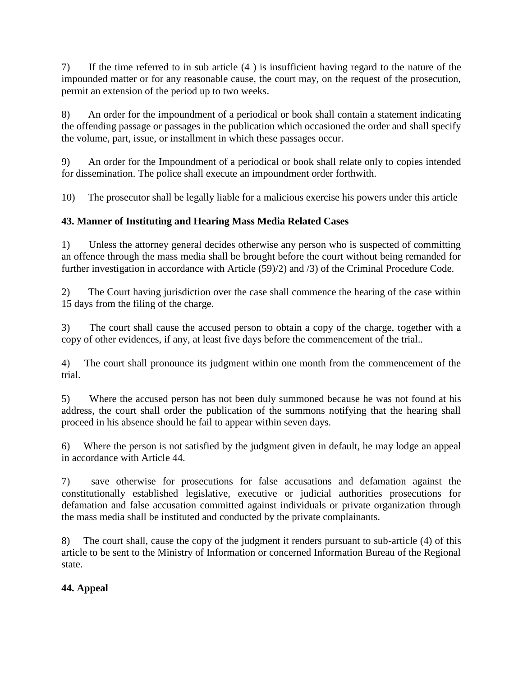7) If the time referred to in sub article (4 ) is insufficient having regard to the nature of the impounded matter or for any reasonable cause, the court may, on the request of the prosecution, permit an extension of the period up to two weeks.

8) An order for the impoundment of a periodical or book shall contain a statement indicating the offending passage or passages in the publication which occasioned the order and shall specify the volume, part, issue, or installment in which these passages occur.

9) An order for the Impoundment of a periodical or book shall relate only to copies intended for dissemination. The police shall execute an impoundment order forthwith.

10) The prosecutor shall be legally liable for a malicious exercise his powers under this article

# **43. Manner of Instituting and Hearing Mass Media Related Cases**

1) Unless the attorney general decides otherwise any person who is suspected of committing an offence through the mass media shall be brought before the court without being remanded for further investigation in accordance with Article (59)/2) and /3) of the Criminal Procedure Code.

2) The Court having jurisdiction over the case shall commence the hearing of the case within 15 days from the filing of the charge.

3) The court shall cause the accused person to obtain a copy of the charge, together with a copy of other evidences, if any, at least five days before the commencement of the trial..

4) The court shall pronounce its judgment within one month from the commencement of the trial.

5) Where the accused person has not been duly summoned because he was not found at his address, the court shall order the publication of the summons notifying that the hearing shall proceed in his absence should he fail to appear within seven days.

6) Where the person is not satisfied by the judgment given in default, he may lodge an appeal in accordance with Article 44.

7) save otherwise for prosecutions for false accusations and defamation against the constitutionally established legislative, executive or judicial authorities prosecutions for defamation and false accusation committed against individuals or private organization through the mass media shall be instituted and conducted by the private complainants.

8) The court shall, cause the copy of the judgment it renders pursuant to sub-article (4) of this article to be sent to the Ministry of Information or concerned Information Bureau of the Regional state.

# **44. Appeal**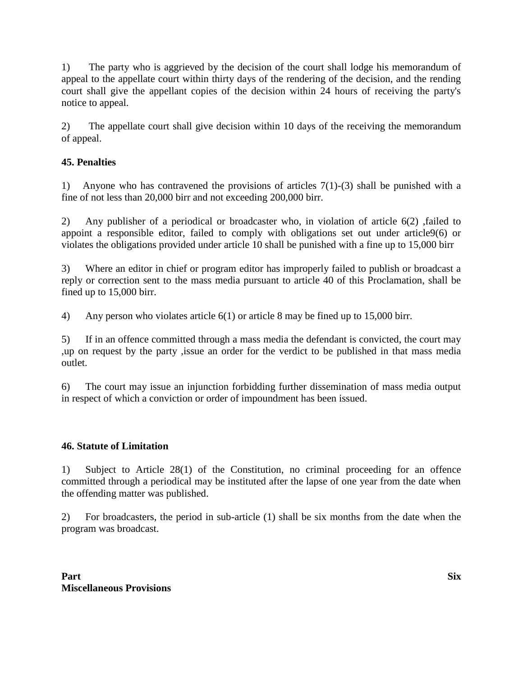1) The party who is aggrieved by the decision of the court shall lodge his memorandum of appeal to the appellate court within thirty days of the rendering of the decision, and the rending court shall give the appellant copies of the decision within 24 hours of receiving the party's notice to appeal.

2) The appellate court shall give decision within 10 days of the receiving the memorandum of appeal.

# **45. Penalties**

1) Anyone who has contravened the provisions of articles 7(1)-(3) shall be punished with a fine of not less than 20,000 birr and not exceeding 200,000 birr.

2) Any publisher of a periodical or broadcaster who, in violation of article 6(2) ,failed to appoint a responsible editor, failed to comply with obligations set out under article9(6) or violates the obligations provided under article 10 shall be punished with a fine up to 15,000 birr

3) Where an editor in chief or program editor has improperly failed to publish or broadcast a reply or correction sent to the mass media pursuant to article 40 of this Proclamation, shall be fined up to 15,000 birr.

4) Any person who violates article 6(1) or article 8 may be fined up to 15,000 birr.

5) If in an offence committed through a mass media the defendant is convicted, the court may ,up on request by the party ,issue an order for the verdict to be published in that mass media outlet.

6) The court may issue an injunction forbidding further dissemination of mass media output in respect of which a conviction or order of impoundment has been issued.

#### **46. Statute of Limitation**

1) Subject to Article 28(1) of the Constitution, no criminal proceeding for an offence committed through a periodical may be instituted after the lapse of one year from the date when the offending matter was published.

2) For broadcasters, the period in sub-article (1) shall be six months from the date when the program was broadcast.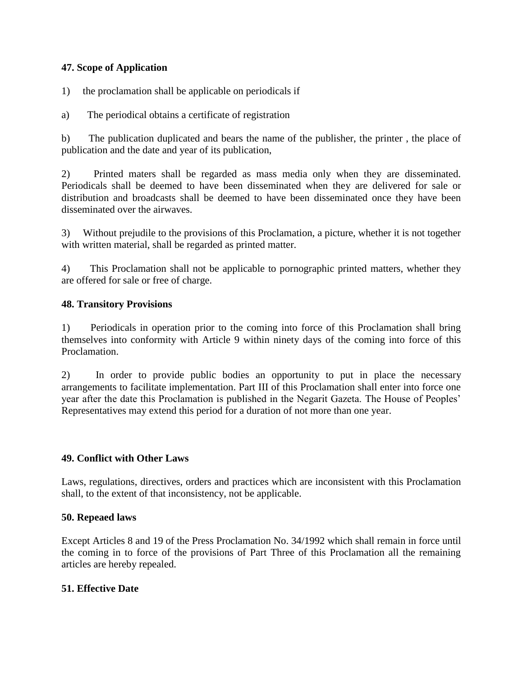#### **47. Scope of Application**

1) the proclamation shall be applicable on periodicals if

a) The periodical obtains a certificate of registration

b) The publication duplicated and bears the name of the publisher, the printer , the place of publication and the date and year of its publication,

2) Printed maters shall be regarded as mass media only when they are disseminated. Periodicals shall be deemed to have been disseminated when they are delivered for sale or distribution and broadcasts shall be deemed to have been disseminated once they have been disseminated over the airwaves.

3) Without prejudile to the provisions of this Proclamation, a picture, whether it is not together with written material, shall be regarded as printed matter.

4) This Proclamation shall not be applicable to pornographic printed matters, whether they are offered for sale or free of charge.

#### **48. Transitory Provisions**

1) Periodicals in operation prior to the coming into force of this Proclamation shall bring themselves into conformity with Article 9 within ninety days of the coming into force of this Proclamation.

2) In order to provide public bodies an opportunity to put in place the necessary arrangements to facilitate implementation. Part III of this Proclamation shall enter into force one year after the date this Proclamation is published in the Negarit Gazeta. The House of Peoples' Representatives may extend this period for a duration of not more than one year.

#### **49. Conflict with Other Laws**

Laws, regulations, directives, orders and practices which are inconsistent with this Proclamation shall, to the extent of that inconsistency, not be applicable.

#### **50. Repeaed laws**

Except Articles 8 and 19 of the Press Proclamation No. 34/1992 which shall remain in force until the coming in to force of the provisions of Part Three of this Proclamation all the remaining articles are hereby repealed.

#### **51. Effective Date**